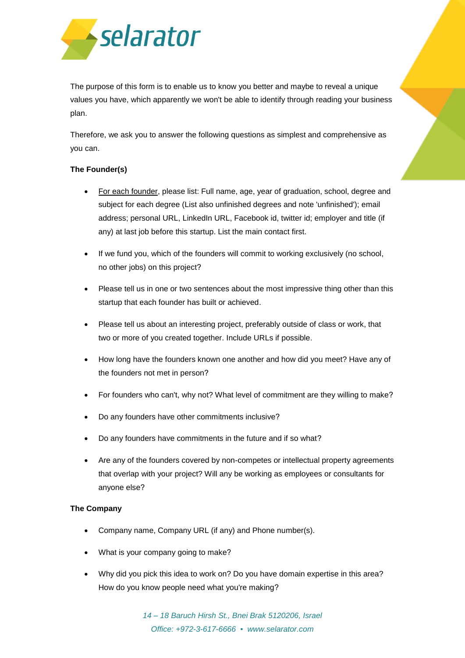

The purpose of this form is to enable us to know you better and maybe to reveal a unique values you have, which apparently we won't be able to identify through reading your business plan.

Therefore, we ask you to answer the following questions as simplest and comprehensive as you can.

## **The Founder(s)**

- For each founder, please list: Full name, age, year of graduation, school, degree and subject for each degree (List also unfinished degrees and note 'unfinished'); email address; personal URL, LinkedIn URL, Facebook id, twitter id; employer and title (if any) at last job before this startup. List the main contact first.
- If we fund you, which of the founders will commit to working exclusively (no school, no other jobs) on this project?
- Please tell us in one or two sentences about the most impressive thing other than this startup that each founder has built or achieved.
- Please tell us about an interesting project, preferably outside of class or work, that two or more of you created together. Include URLs if possible.
- How long have the founders known one another and how did you meet? Have any of the founders not met in person?
- For founders who can't, why not? What level of commitment are they willing to make?
- Do any founders have other commitments inclusive?
- Do any founders have commitments in the future and if so what?
- Are any of the founders covered by non-competes or intellectual property agreements that overlap with your project? Will any be working as employees or consultants for anyone else?

## **The Company**

- Company name, Company URL (if any) and Phone number(s).
- What is your company going to make?
- Why did you pick this idea to work on? Do you have domain expertise in this area? How do you know people need what you're making?

*14 – 18 Baruch Hirsh St., Bnei Brak 5120206, Israel Office: +972-3-617-6666 ▪ www.selarator.com*